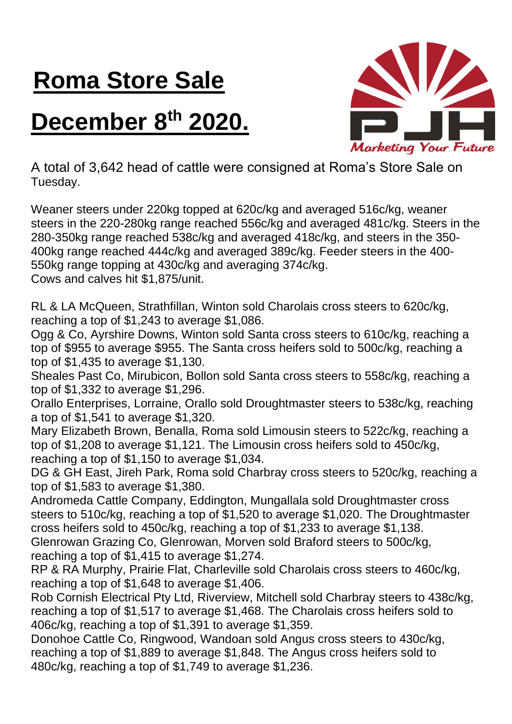## **Roma Store Sale**

## **December 8 th 2020.**



A total of 3,642 head of cattle were consigned at Roma's Store Sale on Tuesday.

Weaner steers under 220kg topped at 620c/kg and averaged 516c/kg, weaner steers in the 220-280kg range reached 556c/kg and averaged 481c/kg. Steers in the 280-350kg range reached 538c/kg and averaged 418c/kg, and steers in the 350- 400kg range reached 444c/kg and averaged 389c/kg. Feeder steers in the 400- 550kg range topping at 430c/kg and averaging 374c/kg. Cows and calves hit \$1,875/unit.

RL & LA McQueen, Strathfillan, Winton sold Charolais cross steers to 620c/kg, reaching a top of \$1,243 to average \$1,086.

Ogg & Co, Ayrshire Downs, Winton sold Santa cross steers to 610c/kg, reaching a top of \$955 to average \$955. The Santa cross heifers sold to 500c/kg, reaching a top of \$1,435 to average \$1,130.

Sheales Past Co, Mirubicon, Bollon sold Santa cross steers to 558c/kg, reaching a top of \$1,332 to average \$1,296.

Orallo Enterprises, Lorraine, Orallo sold Droughtmaster steers to 538c/kg, reaching a top of \$1,541 to average \$1,320.

Mary Elizabeth Brown, Benalla, Roma sold Limousin steers to 522c/kg, reaching a top of \$1,208 to average \$1,121. The Limousin cross heifers sold to 450c/kg, reaching a top of \$1,150 to average \$1,034.

DG & GH East, Jireh Park, Roma sold Charbray cross steers to 520c/kg, reaching a top of \$1,583 to average \$1,380.

Andromeda Cattle Company, Eddington, Mungallala sold Droughtmaster cross steers to 510c/kg, reaching a top of \$1,520 to average \$1,020. The Droughtmaster cross heifers sold to 450c/kg, reaching a top of \$1,233 to average \$1,138. Glenrowan Grazing Co, Glenrowan, Morven sold Braford steers to 500c/kg,

reaching a top of \$1,415 to average \$1,274.

RP & RA Murphy, Prairie Flat, Charleville sold Charolais cross steers to 460c/kg, reaching a top of \$1,648 to average \$1,406.

Rob Cornish Electrical Pty Ltd, Riverview, Mitchell sold Charbray steers to 438c/kg, reaching a top of \$1,517 to average \$1,468. The Charolais cross heifers sold to 406c/kg, reaching a top of \$1,391 to average \$1,359.

Donohoe Cattle Co, Ringwood, Wandoan sold Angus cross steers to 430c/kg, reaching a top of \$1,889 to average \$1,848. The Angus cross heifers sold to 480c/kg, reaching a top of \$1,749 to average \$1,236.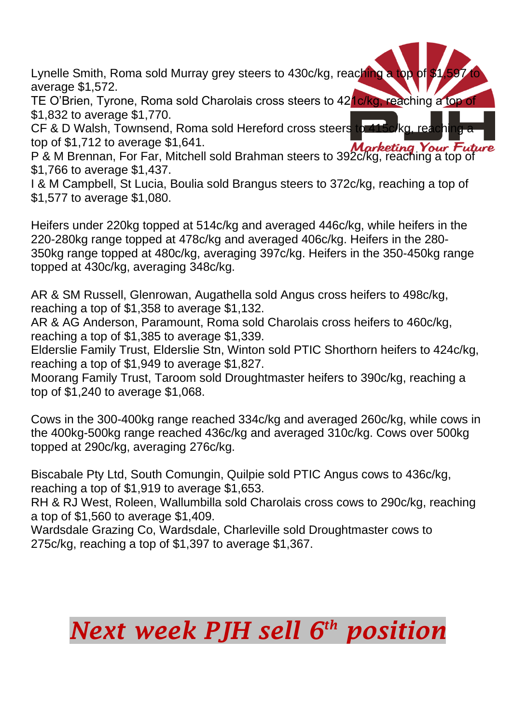Lynelle Smith, Roma sold Murray grey steers to 430c/kg, reaching a top of \$1, average \$1,572.

TE O'Brien, Tyrone, Roma sold Charolais cross steers to 421c/kg, reaching a top of \$1,832 to average \$1,770.

CF & D Walsh, Townsend, Roma sold Hereford cross steers to 415c/kg, rea top of \$1,712 to average \$1,641.

top or \$1,712 to average \$1,641.<br>P & M Brennan, For Far, Mitchell sold Brahman steers to 392c/kg, reaching a top of \$1,766 to average \$1,437.

I & M Campbell, St Lucia, Boulia sold Brangus steers to 372c/kg, reaching a top of \$1,577 to average \$1,080.

Heifers under 220kg topped at 514c/kg and averaged 446c/kg, while heifers in the 220-280kg range topped at 478c/kg and averaged 406c/kg. Heifers in the 280- 350kg range topped at 480c/kg, averaging 397c/kg. Heifers in the 350-450kg range topped at 430c/kg, averaging 348c/kg.

AR & SM Russell, Glenrowan, Augathella sold Angus cross heifers to 498c/kg, reaching a top of \$1,358 to average \$1,132.

AR & AG Anderson, Paramount, Roma sold Charolais cross heifers to 460c/kg, reaching a top of \$1,385 to average \$1,339.

Elderslie Family Trust, Elderslie Stn, Winton sold PTIC Shorthorn heifers to 424c/kg, reaching a top of \$1,949 to average \$1,827.

Moorang Family Trust, Taroom sold Droughtmaster heifers to 390c/kg, reaching a top of \$1,240 to average \$1,068.

Cows in the 300-400kg range reached 334c/kg and averaged 260c/kg, while cows in the 400kg-500kg range reached 436c/kg and averaged 310c/kg. Cows over 500kg topped at 290c/kg, averaging 276c/kg.

Biscabale Pty Ltd, South Comungin, Quilpie sold PTIC Angus cows to 436c/kg, reaching a top of \$1,919 to average \$1,653.

RH & RJ West, Roleen, Wallumbilla sold Charolais cross cows to 290c/kg, reaching a top of \$1,560 to average \$1,409.

Wardsdale Grazing Co, Wardsdale, Charleville sold Droughtmaster cows to 275c/kg, reaching a top of \$1,397 to average \$1,367.

## *Next week PJH sell 6 th position*